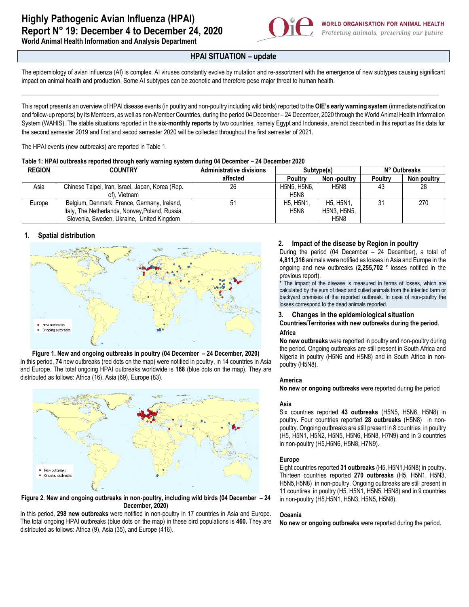

**World Animal Health Information and Analysis Department**

# **HPAI SITUATION – update**

The epidemiology of avian influenza (AI) is complex. AI viruses constantly evolve by mutation and re-assortment with the emergence of new subtypes causing significant impact on animal health and production. Some AI subtypes can be zoonotic and therefore pose major threat to human health.

\_\_\_\_\_\_\_\_\_\_\_\_\_\_\_\_\_\_\_\_\_\_\_\_\_\_\_\_\_\_\_\_\_\_\_\_\_\_\_\_\_\_\_\_\_\_\_\_\_\_\_\_\_\_\_\_\_\_\_\_\_\_\_\_\_\_\_\_\_\_\_\_\_\_\_\_\_\_\_\_\_\_\_\_\_\_\_\_\_\_\_\_\_\_\_\_\_\_\_\_\_\_\_\_\_\_\_\_\_\_\_\_\_\_\_\_\_\_\_\_\_\_\_\_\_\_\_\_\_\_\_\_\_\_\_\_\_\_\_\_\_\_\_\_\_\_\_\_\_\_\_\_\_\_\_\_\_\_\_\_\_\_\_\_\_\_\_\_\_\_\_\_\_\_\_\_\_\_\_\_\_\_\_\_\_\_\_\_\_\_\_\_\_\_\_\_\_\_\_\_\_\_\_\_\_\_\_\_\_\_\_\_\_\_\_\_\_\_\_\_\_\_\_\_\_\_\_\_\_\_\_\_\_\_\_\_\_\_\_

This report presents an overview of HPAI disease events (in poultry and non-poultry including wild birds) reported to the **OIE's early warning system** (immediate notification and follow-up reports) by its Members, as well as non-Member Countries, during the period 04 December – 24 December, 2020 through the World Animal Health Information System (WAHIS). The stable situations reported in the **six-monthly reports** by two countries, namely Egypt and Indonesia, are not described in this report as this data for the second semester 2019 and first and secod semester 2020 will be collected throughout the first semester of 2021.

The HPAI events (new outbreaks) are reported in Table 1.

| Table 1: HPAI outbreaks reported through early warning system during 04 December - 24 December 2020 |
|-----------------------------------------------------------------------------------------------------|
|-----------------------------------------------------------------------------------------------------|

| <b>REGION</b> | <b>COUNTRY</b>                                   | <b>Administrative divisions</b> | Subtype(s)                                     |                                                  | N° Outbreaks   |             |
|---------------|--------------------------------------------------|---------------------------------|------------------------------------------------|--------------------------------------------------|----------------|-------------|
|               |                                                  | affected                        | Poultry                                        | Non -poultry                                     | <b>Poultry</b> | Non poultry |
| Asia          | Chinese Taipei, Iran, Israel, Japan, Korea (Rep. | 26                              | H5N5, H5N6.                                    | H <sub>5</sub> N <sub>8</sub>                    | 43             | 28          |
|               | of). Vietnam                                     |                                 | H <sub>5</sub> N <sub>8</sub>                  |                                                  |                |             |
| Europe        | Belgium, Denmark, France, Germany, Ireland,      | 51                              | H <sub>5</sub> , H <sub>5</sub> N <sub>1</sub> | H <sub>5</sub> , H <sub>5</sub> N <sub>1</sub> , | 31             | 270         |
|               | Italy, The Netherlands, Norway, Poland, Russia,  |                                 | <b>H5N8</b>                                    | H5N3, H5N5.                                      |                |             |
|               | Slovenia, Sweden, Ukraine, United Kingdom        |                                 |                                                | H <sub>5</sub> N <sub>8</sub>                    |                |             |

# **1. Spatial distribution**



**Figure 1. New and ongoing outbreaks in poultry (04 December – 24 December, 2020)** In this period, **74** new outbreaks (red dots on the map) were notified in poultry, in 14 countries in Asia and Europe. The total ongoing HPAI outbreaks worldwide is **168** (blue dots on the map). They are distributed as follows: Africa (16), Asia (69), Europe (83).



**Figure 2. New and ongoing outbreaks in non-poultry, including wild birds (04 December – 24 December, 2020)**

In this period, **298 new outbreaks** were notified in non-poultry in 17 countries in Asia and Europe. The total ongoing HPAI outbreaks (blue dots on the map) in these bird populations is **460.** They are distributed as follows: Africa (9), Asia (35), and Europe (416).

# **2. Impact of the disease by Region in poultry**

During the period (04 December – 24 December), a total of **4,811,316** animals were notified as losses in Asia and Europe in the ongoing and new outbreaks (**2,255,702 \*** losses notified in the previous report).

The impact of the disease is measured in terms of losses, which are calculated by the sum of dead and culled animals from the infected farm or backyard premises of the reported outbreak. In case of non-poultry the losses correspond to the dead animals reported.

## **3. Changes in the epidemiological situation**

# **Countries/Territories with new outbreaks during the period**. **Africa**

**No new outbreaks** were reported in poultry and non-poultry during the period. Ongoing outbreaks are still present in South Africa and Nigeria in poultry (H5N6 and H5N8) and in South Africa in nonpoultry (H5N8).

## **America**

**No new or ongoing outbreaks** were reported during the period.

## **Asia**

Six countries reported **43 outbreaks** (H5N5, H5N6, H5N8) in poultry**.** Four countries reported **28 outbreaks** (H5N8) in nonpoultry. Ongoing outbreaks are still present in 8 countries in poultry (H5, H5N1, H5N2, H5N5, H5N6, H5N8, H7N9) and in 3 countries in non-poultry (H5,H5N6, H5N8, H7N9).

## **Europe**

Eight countries reported **31 outbreaks** (H5, H5N1,H5N8) in poultry**.** Thirteen countries reported **270 outbreaks** (H5, H5N1, H5N3, H5N5,H5N8) in non-poultry. Ongoing outbreaks are still present in 11 countires in poultry (H5, H5N1, H5N5, H5N8) and in 9 countries in non-poultry (H5,H5N1, H5N3, H5N5, H5N8).

## **Oceania**

**No new or ongoing outbreaks** were reported during the period.